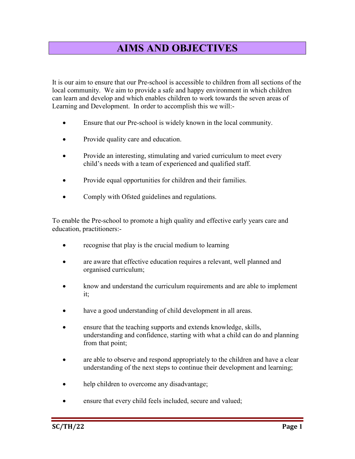## AIMS AND OBJECTIVES

It is our aim to ensure that our Pre-school is accessible to children from all sections of the local community. We aim to provide a safe and happy environment in which children can learn and develop and which enables children to work towards the seven areas of Learning and Development. In order to accomplish this we will:-

- Ensure that our Pre-school is widely known in the local community.
- Provide quality care and education.
- Provide an interesting, stimulating and varied curriculum to meet every child's needs with a team of experienced and qualified staff.
- Provide equal opportunities for children and their families.
- Comply with Ofsted guidelines and regulations.

To enable the Pre-school to promote a high quality and effective early years care and education, practitioners:-

- recognise that play is the crucial medium to learning
- are aware that effective education requires a relevant, well planned and organised curriculum;
- know and understand the curriculum requirements and are able to implement it;
- have a good understanding of child development in all areas.
- ensure that the teaching supports and extends knowledge, skills, understanding and confidence, starting with what a child can do and planning from that point;
- are able to observe and respond appropriately to the children and have a clear understanding of the next steps to continue their development and learning;
- help children to overcome any disadvantage;
- ensure that every child feels included, secure and valued;